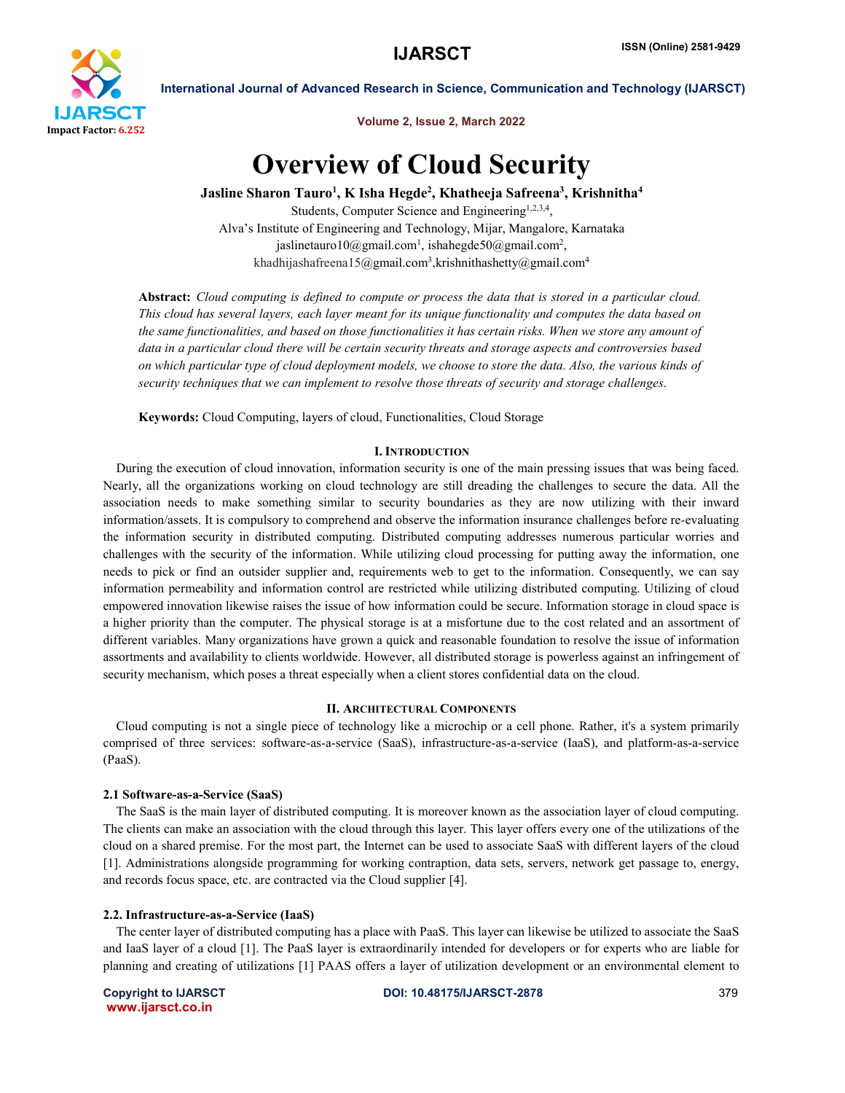

Volume 2, Issue 2, March 2022

# Overview of Cloud Security

Jasline Sharon Tauro<sup>1</sup>, K Isha Hegde<sup>2</sup>, Khatheeja Safreena<sup>3</sup>, Krishnitha<sup>4</sup>

Students, Computer Science and Engineering1,2,3,4, Alva's Institute of Engineering and Technology, Mijar, Mangalore, Karnataka jaslinetauro10@gmail.com<sup>1</sup>, ishahegde50@gmail.com<sup>2</sup>, khadhijashafreena15@gmail.com<sup>3</sup>,krishnithashetty@gmail.com<sup>4</sup>

Abstract: *Cloud computing is defined to compute or process the data that is stored in a particular cloud. This cloud has several layers, each layer meant for its unique functionality and computes the data based on the same functionalities, and based on those functionalities it has certain risks. When we store any amount of data in a particular cloud there will be certain security threats and storage aspects and controversies based on which particular type of cloud deployment models, we choose to store the data. Also, the various kinds of security techniques that we can implement to resolve those threats of security and storage challenges*.

Keywords: Cloud Computing, layers of cloud, Functionalities, Cloud Storage

#### I.INTRODUCTION

 During the execution of cloud innovation, information security is one of the main pressing issues that was being faced. Nearly, all the organizations working on cloud technology are still dreading the challenges to secure the data. All the association needs to make something similar to security boundaries as they are now utilizing with their inward information/assets. It is compulsory to comprehend and observe the information insurance challenges before re-evaluating the information security in distributed computing. Distributed computing addresses numerous particular worries and challenges with the security of the information. While utilizing cloud processing for putting away the information, one needs to pick or find an outsider supplier and, requirements web to get to the information. Consequently, we can say information permeability and information control are restricted while utilizing distributed computing. Utilizing of cloud empowered innovation likewise raises the issue of how information could be secure. Information storage in cloud space is a higher priority than the computer. The physical storage is at a misfortune due to the cost related and an assortment of different variables. Many organizations have grown a quick and reasonable foundation to resolve the issue of information assortments and availability to clients worldwide. However, all distributed storage is powerless against an infringement of security mechanism, which poses a threat especially when a client stores confidential data on the cloud.

## II. ARCHITECTURAL COMPONENTS

 Cloud computing is not a single piece of technology like a microchip or a cell phone. Rather, it's a system primarily comprised of three services: software-as-a-service (SaaS), infrastructure-as-a-service (IaaS), and platform-as-a-service (PaaS).

#### 2.1 Software-as-a-Service (SaaS)

 The SaaS is the main layer of distributed computing. It is moreover known as the association layer of cloud computing. The clients can make an association with the cloud through this layer. This layer offers every one of the utilizations of the cloud on a shared premise. For the most part, the Internet can be used to associate SaaS with different layers of the cloud [1]. Administrations alongside programming for working contraption, data sets, servers, network get passage to, energy, and records focus space, etc. are contracted via the Cloud supplier [4].

#### 2.2. Infrastructure-as-a-Service (IaaS)

 The center layer of distributed computing has a place with PaaS. This layer can likewise be utilized to associate the SaaS and IaaS layer of a cloud [1]. The PaaS layer is extraordinarily intended for developers or for experts who are liable for planning and creating of utilizations [1] PAAS offers a layer of utilization development or an environmental element to

www.ijarsct.co.in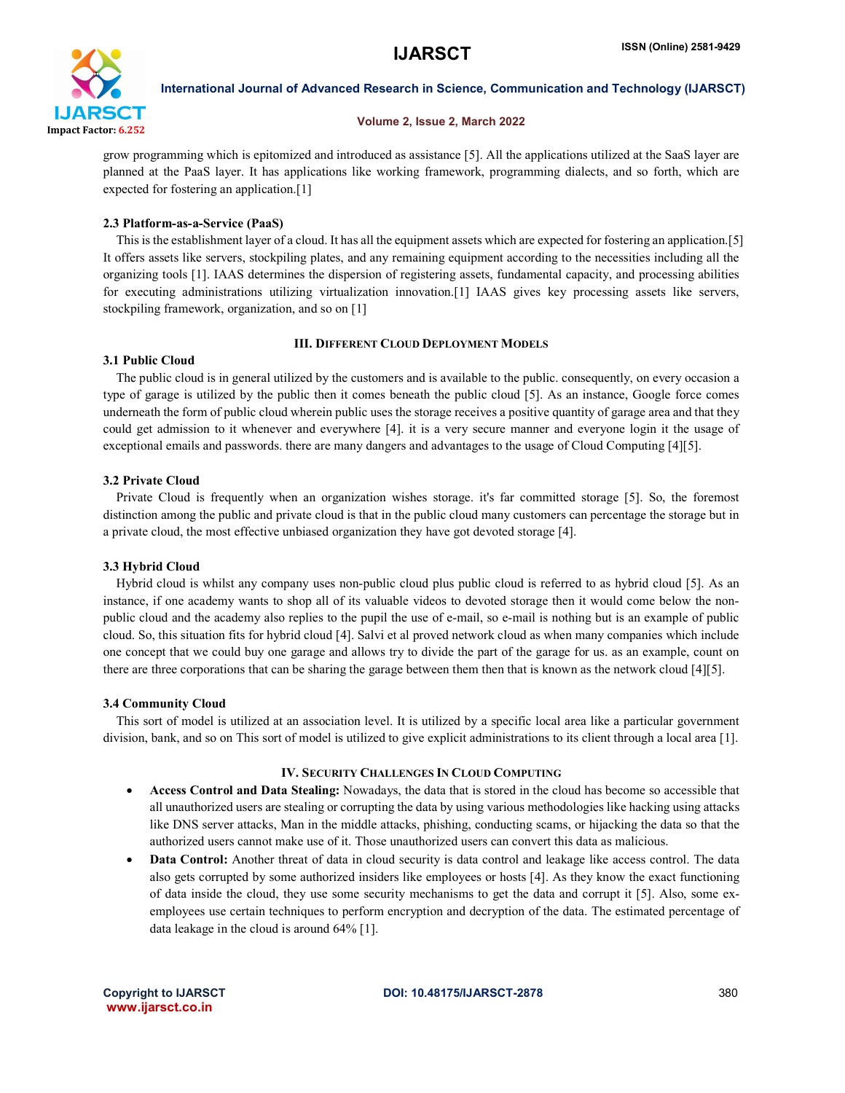

#### Volume 2, Issue 2, March 2022

grow programming which is epitomized and introduced as assistance [5]. All the applications utilized at the SaaS layer are planned at the PaaS layer. It has applications like working framework, programming dialects, and so forth, which are expected for fostering an application.[1]

## 2.3 Platform-as-a-Service (PaaS)

 This is the establishment layer of a cloud. It has all the equipment assets which are expected for fostering an application.[5] It offers assets like servers, stockpiling plates, and any remaining equipment according to the necessities including all the organizing tools [1]. IAAS determines the dispersion of registering assets, fundamental capacity, and processing abilities for executing administrations utilizing virtualization innovation.[1] IAAS gives key processing assets like servers, stockpiling framework, organization, and so on [1]

## III. DIFFERENT CLOUD DEPLOYMENT MODELS

## 3.1 Public Cloud

 The public cloud is in general utilized by the customers and is available to the public. consequently, on every occasion a type of garage is utilized by the public then it comes beneath the public cloud [5]. As an instance, Google force comes underneath the form of public cloud wherein public uses the storage receives a positive quantity of garage area and that they could get admission to it whenever and everywhere [4]. it is a very secure manner and everyone login it the usage of exceptional emails and passwords. there are many dangers and advantages to the usage of Cloud Computing [4][5].

## 3.2 Private Cloud

 Private Cloud is frequently when an organization wishes storage. it's far committed storage [5]. So, the foremost distinction among the public and private cloud is that in the public cloud many customers can percentage the storage but in a private cloud, the most effective unbiased organization they have got devoted storage [4].

# 3.3 Hybrid Cloud

 Hybrid cloud is whilst any company uses non-public cloud plus public cloud is referred to as hybrid cloud [5]. As an instance, if one academy wants to shop all of its valuable videos to devoted storage then it would come below the nonpublic cloud and the academy also replies to the pupil the use of e-mail, so e-mail is nothing but is an example of public cloud. So, this situation fits for hybrid cloud [4]. Salvi et al proved network cloud as when many companies which include one concept that we could buy one garage and allows try to divide the part of the garage for us. as an example, count on there are three corporations that can be sharing the garage between them then that is known as the network cloud [4][5].

# 3.4 Community Cloud

 This sort of model is utilized at an association level. It is utilized by a specific local area like a particular government division, bank, and so on This sort of model is utilized to give explicit administrations to its client through a local area [1].

## IV. SECURITY CHALLENGES IN CLOUD COMPUTING

- Access Control and Data Stealing: Nowadays, the data that is stored in the cloud has become so accessible that all unauthorized users are stealing or corrupting the data by using various methodologies like hacking using attacks like DNS server attacks, Man in the middle attacks, phishing, conducting scams, or hijacking the data so that the authorized users cannot make use of it. Those unauthorized users can convert this data as malicious.
- Data Control: Another threat of data in cloud security is data control and leakage like access control. The data also gets corrupted by some authorized insiders like employees or hosts [4]. As they know the exact functioning of data inside the cloud, they use some security mechanisms to get the data and corrupt it [5]. Also, some exemployees use certain techniques to perform encryption and decryption of the data. The estimated percentage of data leakage in the cloud is around 64% [1].

www.ijarsct.co.in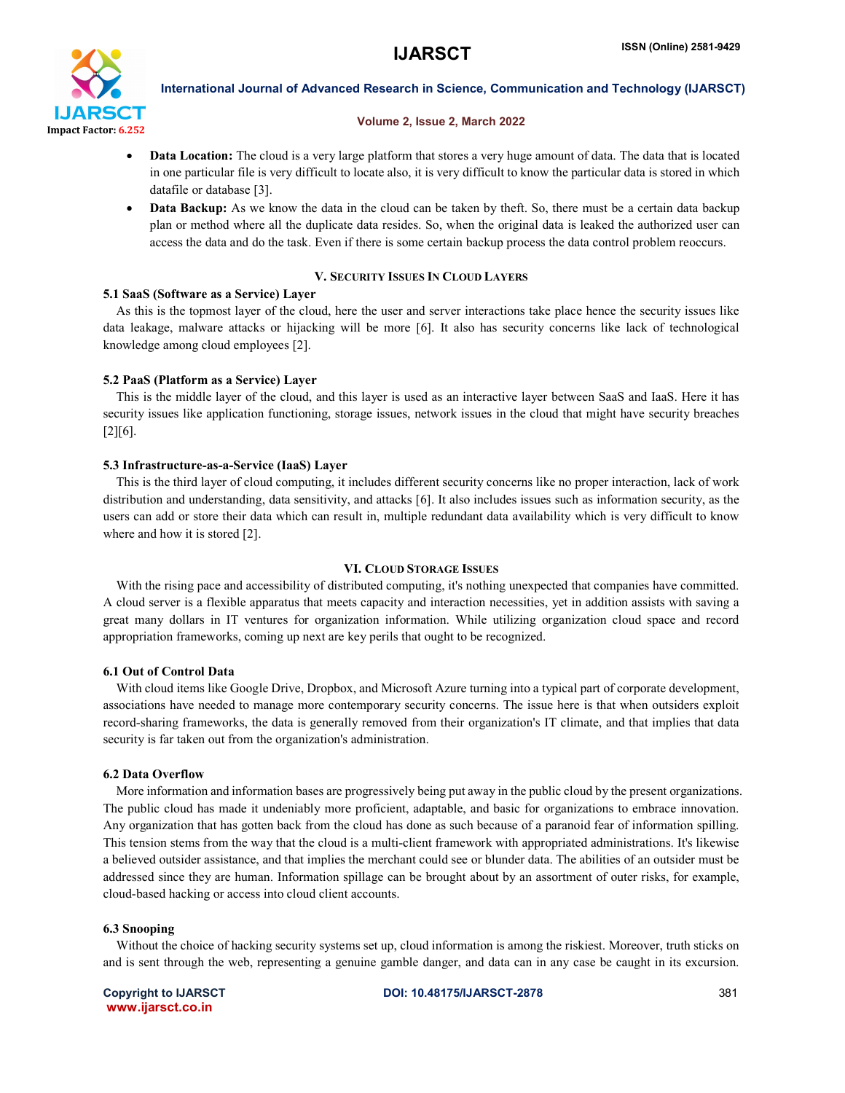

#### Volume 2, Issue 2, March 2022

- Data Location: The cloud is a very large platform that stores a very huge amount of data. The data that is located in one particular file is very difficult to locate also, it is very difficult to know the particular data is stored in which datafile or database [3].
- Data Backup: As we know the data in the cloud can be taken by theft. So, there must be a certain data backup plan or method where all the duplicate data resides. So, when the original data is leaked the authorized user can access the data and do the task. Even if there is some certain backup process the data control problem reoccurs.

## V. SECURITY ISSUES IN CLOUD LAYERS

## 5.1 SaaS (Software as a Service) Layer

 As this is the topmost layer of the cloud, here the user and server interactions take place hence the security issues like data leakage, malware attacks or hijacking will be more [6]. It also has security concerns like lack of technological knowledge among cloud employees [2].

## 5.2 PaaS (Platform as a Service) Layer

 This is the middle layer of the cloud, and this layer is used as an interactive layer between SaaS and IaaS. Here it has security issues like application functioning, storage issues, network issues in the cloud that might have security breaches [2][6].

## 5.3 Infrastructure-as-a-Service (IaaS) Layer

 This is the third layer of cloud computing, it includes different security concerns like no proper interaction, lack of work distribution and understanding, data sensitivity, and attacks [6]. It also includes issues such as information security, as the users can add or store their data which can result in, multiple redundant data availability which is very difficult to know where and how it is stored [2].

## VI. CLOUD STORAGE ISSUES

With the rising pace and accessibility of distributed computing, it's nothing unexpected that companies have committed. A cloud server is a flexible apparatus that meets capacity and interaction necessities, yet in addition assists with saving a great many dollars in IT ventures for organization information. While utilizing organization cloud space and record appropriation frameworks, coming up next are key perils that ought to be recognized.

## 6.1 Out of Control Data

With cloud items like Google Drive, Dropbox, and Microsoft Azure turning into a typical part of corporate development, associations have needed to manage more contemporary security concerns. The issue here is that when outsiders exploit record-sharing frameworks, the data is generally removed from their organization's IT climate, and that implies that data security is far taken out from the organization's administration.

## 6.2 Data Overflow

 More information and information bases are progressively being put away in the public cloud by the present organizations. The public cloud has made it undeniably more proficient, adaptable, and basic for organizations to embrace innovation. Any organization that has gotten back from the cloud has done as such because of a paranoid fear of information spilling. This tension stems from the way that the cloud is a multi-client framework with appropriated administrations. It's likewise a believed outsider assistance, and that implies the merchant could see or blunder data. The abilities of an outsider must be addressed since they are human. Information spillage can be brought about by an assortment of outer risks, for example, cloud-based hacking or access into cloud client accounts.

## 6.3 Snooping

 Without the choice of hacking security systems set up, cloud information is among the riskiest. Moreover, truth sticks on and is sent through the web, representing a genuine gamble danger, and data can in any case be caught in its excursion.

www.ijarsct.co.in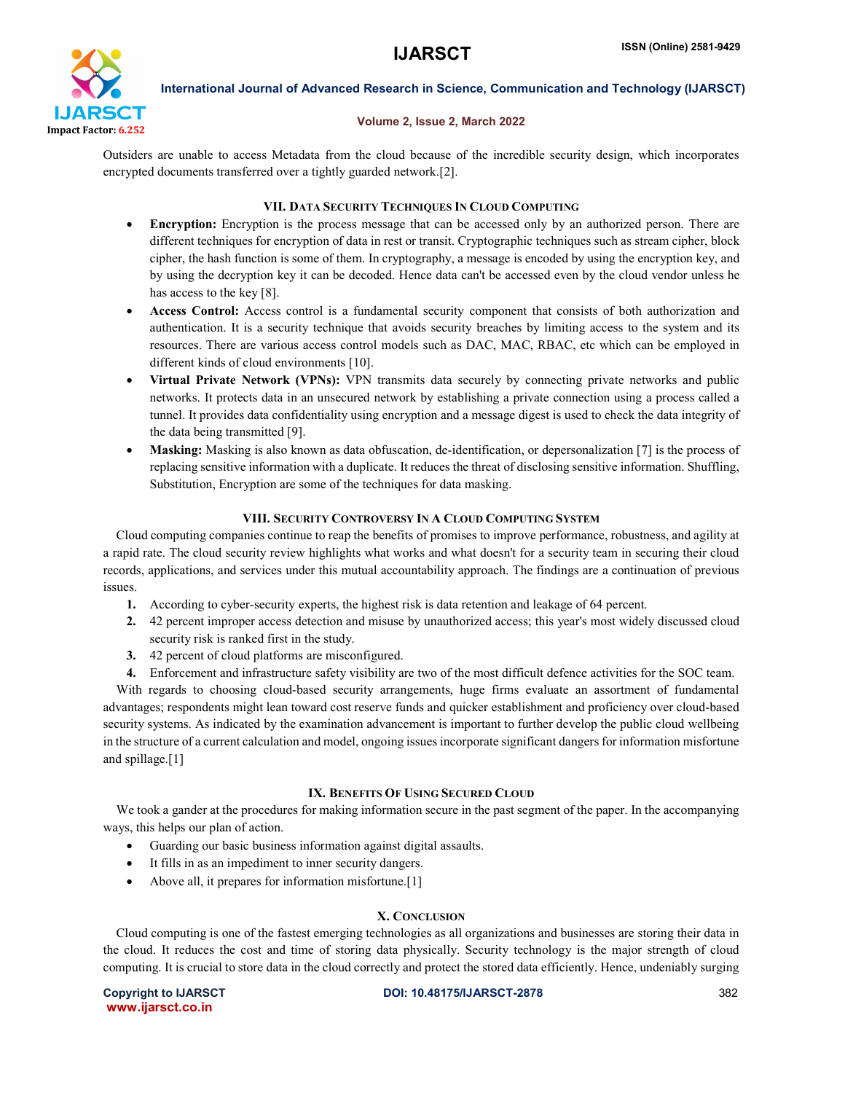

#### Volume 2, Issue 2, March 2022

Outsiders are unable to access Metadata from the cloud because of the incredible security design, which incorporates encrypted documents transferred over a tightly guarded network.[2].

## VII. DATA SECURITY TECHNIQUES IN CLOUD COMPUTING

- Encryption: Encryption is the process message that can be accessed only by an authorized person. There are different techniques for encryption of data in rest or transit. Cryptographic techniques such as stream cipher, block cipher, the hash function is some of them. In cryptography, a message is encoded by using the encryption key, and by using the decryption key it can be decoded. Hence data can't be accessed even by the cloud vendor unless he has access to the key [8].
- Access Control: Access control is a fundamental security component that consists of both authorization and authentication. It is a security technique that avoids security breaches by limiting access to the system and its resources. There are various access control models such as DAC, MAC, RBAC, etc which can be employed in different kinds of cloud environments [10].
- Virtual Private Network (VPNs): VPN transmits data securely by connecting private networks and public networks. It protects data in an unsecured network by establishing a private connection using a process called a tunnel. It provides data confidentiality using encryption and a message digest is used to check the data integrity of the data being transmitted [9].
- Masking: Masking is also known as data obfuscation, de-identification, or depersonalization [7] is the process of replacing sensitive information with a duplicate. It reduces the threat of disclosing sensitive information. Shuffling, Substitution, Encryption are some of the techniques for data masking.

## VIII. SECURITY CONTROVERSY IN A CLOUD COMPUTING SYSTEM

 Cloud computing companies continue to reap the benefits of promises to improve performance, robustness, and agility at a rapid rate. The cloud security review highlights what works and what doesn't for a security team in securing their cloud records, applications, and services under this mutual accountability approach. The findings are a continuation of previous issues.

- 1. According to cyber-security experts, the highest risk is data retention and leakage of 64 percent.
- 2. 42 percent improper access detection and misuse by unauthorized access; this year's most widely discussed cloud security risk is ranked first in the study.
- 3. 42 percent of cloud platforms are misconfigured.
- 4. Enforcement and infrastructure safety visibility are two of the most difficult defence activities for the SOC team.

 With regards to choosing cloud-based security arrangements, huge firms evaluate an assortment of fundamental advantages; respondents might lean toward cost reserve funds and quicker establishment and proficiency over cloud-based security systems. As indicated by the examination advancement is important to further develop the public cloud wellbeing in the structure of a current calculation and model, ongoing issues incorporate significant dangers for information misfortune and spillage.[1]

# IX. BENEFITS OF USING SECURED CLOUD

We took a gander at the procedures for making information secure in the past segment of the paper. In the accompanying ways, this helps our plan of action.

- Guarding our basic business information against digital assaults.
- It fills in as an impediment to inner security dangers.
- Above all, it prepares for information misfortune.<sup>[1]</sup>

# X. CONCLUSION

 Cloud computing is one of the fastest emerging technologies as all organizations and businesses are storing their data in the cloud. It reduces the cost and time of storing data physically. Security technology is the major strength of cloud computing. It is crucial to store data in the cloud correctly and protect the stored data efficiently. Hence, undeniably surging

www.ijarsct.co.in

Copyright to IJARSCT DOI: 10.48175/IJARSCT-2878 382